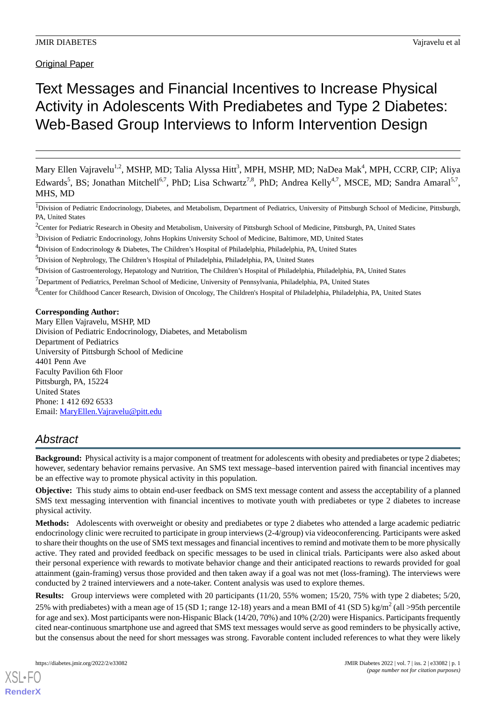Original Paper

# Text Messages and Financial Incentives to Increase Physical Activity in Adolescents With Prediabetes and Type 2 Diabetes: Web-Based Group Interviews to Inform Intervention Design

Mary Ellen Vajravelu<sup>1,2</sup>, MSHP, MD; Talia Alyssa Hitt<sup>3</sup>, MPH, MSHP, MD; NaDea Mak<sup>4</sup>, MPH, CCRP, CIP; Aliya Edwards<sup>5</sup>, BS; Jonathan Mitchell<sup>6,7</sup>, PhD; Lisa Schwartz<sup>7,8</sup>, PhD; Andrea Kelly<sup>4,7</sup>, MSCE, MD; Sandra Amaral<sup>5,7</sup>, MHS, MD

<sup>1</sup>Division of Pediatric Endocrinology, Diabetes, and Metabolism, Department of Pediatrics, University of Pittsburgh School of Medicine, Pittsburgh, PA, United States

<sup>2</sup>Center for Pediatric Research in Obesity and Metabolism, University of Pittsburgh School of Medicine, Pittsburgh, PA, United States

<sup>4</sup>Division of Endocrinology & Diabetes, The Children's Hospital of Philadelphia, Philadelphia, PA, United States

<sup>5</sup>Division of Nephrology, The Children's Hospital of Philadelphia, Philadelphia, PA, United States

<sup>6</sup>Division of Gastroenterology, Hepatology and Nutrition, The Children's Hospital of Philadelphia, Philadelphia, PA, United States

 $7$ Department of Pediatrics, Perelman School of Medicine, University of Pennsylvania, Philadelphia, PA, United States

<sup>8</sup>Center for Childhood Cancer Research, Division of Oncology, The Children's Hospital of Philadelphia, Philadelphia, PA, United States

#### **Corresponding Author:**

Mary Ellen Vajravelu, MSHP, MD Division of Pediatric Endocrinology, Diabetes, and Metabolism Department of Pediatrics University of Pittsburgh School of Medicine 4401 Penn Ave Faculty Pavilion 6th Floor Pittsburgh, PA, 15224 United States Phone: 1 412 692 6533 Email: [MaryEllen.Vajravelu@pitt.edu](mailto:MaryEllen.Vajravelu@pitt.edu)

# *Abstract*

**Background:** Physical activity is a major component of treatment for adolescents with obesity and prediabetes or type 2 diabetes; however, sedentary behavior remains pervasive. An SMS text message–based intervention paired with financial incentives may be an effective way to promote physical activity in this population.

**Objective:** This study aims to obtain end-user feedback on SMS text message content and assess the acceptability of a planned SMS text messaging intervention with financial incentives to motivate youth with prediabetes or type 2 diabetes to increase physical activity.

**Methods:** Adolescents with overweight or obesity and prediabetes or type 2 diabetes who attended a large academic pediatric endocrinology clinic were recruited to participate in group interviews (2-4/group) via videoconferencing. Participants were asked to share their thoughts on the use of SMS text messages and financial incentives to remind and motivate them to be more physically active. They rated and provided feedback on specific messages to be used in clinical trials. Participants were also asked about their personal experience with rewards to motivate behavior change and their anticipated reactions to rewards provided for goal attainment (gain-framing) versus those provided and then taken away if a goal was not met (loss-framing). The interviews were conducted by 2 trained interviewers and a note-taker. Content analysis was used to explore themes.

**Results:** Group interviews were completed with 20 participants (11/20, 55% women; 15/20, 75% with type 2 diabetes; 5/20,

25% with prediabetes) with a mean age of 15 (SD 1; range 12-18) years and a mean BMI of 41 (SD 5) kg/m<sup>2</sup> (all >95th percentile for age and sex). Most participants were non-Hispanic Black (14/20, 70%) and 10% (2/20) were Hispanics. Participants frequently cited near-continuous smartphone use and agreed that SMS text messages would serve as good reminders to be physically active, but the consensus about the need for short messages was strong. Favorable content included references to what they were likely

<sup>&</sup>lt;sup>3</sup>Division of Pediatric Endocrinology, Johns Hopkins University School of Medicine, Baltimore, MD, United States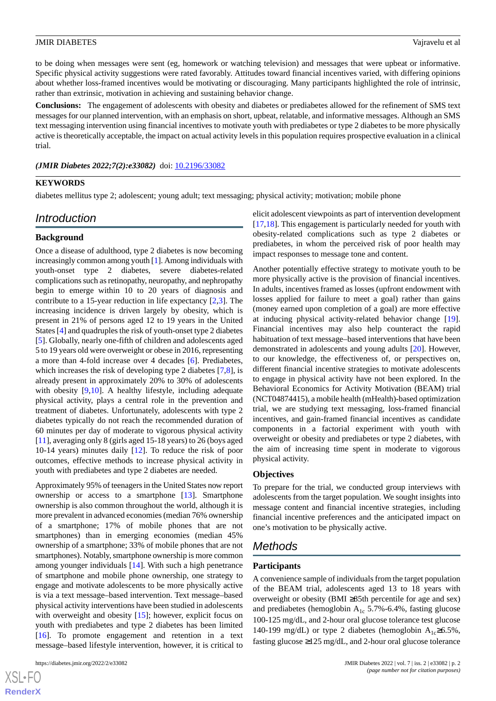to be doing when messages were sent (eg, homework or watching television) and messages that were upbeat or informative. Specific physical activity suggestions were rated favorably. Attitudes toward financial incentives varied, with differing opinions about whether loss-framed incentives would be motivating or discouraging. Many participants highlighted the role of intrinsic, rather than extrinsic, motivation in achieving and sustaining behavior change.

**Conclusions:** The engagement of adolescents with obesity and diabetes or prediabetes allowed for the refinement of SMS text messages for our planned intervention, with an emphasis on short, upbeat, relatable, and informative messages. Although an SMS text messaging intervention using financial incentives to motivate youth with prediabetes or type 2 diabetes to be more physically active is theoretically acceptable, the impact on actual activity levels in this population requires prospective evaluation in a clinical trial.

#### *(JMIR Diabetes 2022;7(2):e33082)* doi: [10.2196/33082](http://dx.doi.org/10.2196/33082)

#### **KEYWORDS**

diabetes mellitus type 2; adolescent; young adult; text messaging; physical activity; motivation; mobile phone

# *Introduction*

#### **Background**

Once a disease of adulthood, type 2 diabetes is now becoming increasingly common among youth [\[1\]](#page-11-0). Among individuals with youth-onset type 2 diabetes, severe diabetes-related complications such as retinopathy, neuropathy, and nephropathy begin to emerge within 10 to 20 years of diagnosis and contribute to a 15-year reduction in life expectancy  $[2,3]$  $[2,3]$  $[2,3]$ . The increasing incidence is driven largely by obesity, which is present in 21% of persons aged 12 to 19 years in the United States [\[4](#page-11-3)] and quadruples the risk of youth-onset type 2 diabetes [[5\]](#page-11-4). Globally, nearly one-fifth of children and adolescents aged 5 to 19 years old were overweight or obese in 2016, representing a more than 4-fold increase over 4 decades [[6\]](#page-11-5). Prediabetes, which increases the risk of developing type 2 diabetes [\[7](#page-11-6),[8\]](#page-11-7), is already present in approximately 20% to 30% of adolescents with obesity [\[9](#page-11-8),[10\]](#page-11-9). A healthy lifestyle, including adequate physical activity, plays a central role in the prevention and treatment of diabetes. Unfortunately, adolescents with type 2 diabetes typically do not reach the recommended duration of 60 minutes per day of moderate to vigorous physical activity [[11\]](#page-11-10), averaging only 8 (girls aged 15-18 years) to 26 (boys aged 10-14 years) minutes daily [\[12](#page-11-11)]. To reduce the risk of poor outcomes, effective methods to increase physical activity in youth with prediabetes and type 2 diabetes are needed.

Approximately 95% of teenagers in the United States now report ownership or access to a smartphone [[13\]](#page-11-12). Smartphone ownership is also common throughout the world, although it is more prevalent in advanced economies (median 76% ownership of a smartphone; 17% of mobile phones that are not smartphones) than in emerging economies (median 45% ownership of a smartphone; 33% of mobile phones that are not smartphones). Notably, smartphone ownership is more common among younger individuals [\[14](#page-11-13)]. With such a high penetrance of smartphone and mobile phone ownership, one strategy to engage and motivate adolescents to be more physically active is via a text message–based intervention. Text message–based physical activity interventions have been studied in adolescents with overweight and obesity [[15\]](#page-11-14); however, explicit focus on youth with prediabetes and type 2 diabetes has been limited [[16\]](#page-11-15). To promote engagement and retention in a text message–based lifestyle intervention, however, it is critical to

elicit adolescent viewpoints as part of intervention development [[17,](#page-11-16)[18\]](#page-11-17). This engagement is particularly needed for youth with obesity-related complications such as type 2 diabetes or prediabetes, in whom the perceived risk of poor health may impact responses to message tone and content.

Another potentially effective strategy to motivate youth to be more physically active is the provision of financial incentives. In adults, incentives framed as losses (upfront endowment with losses applied for failure to meet a goal) rather than gains (money earned upon completion of a goal) are more effective at inducing physical activity-related behavior change [[19\]](#page-11-18). Financial incentives may also help counteract the rapid habituation of text message–based interventions that have been demonstrated in adolescents and young adults [[20\]](#page-11-19). However, to our knowledge, the effectiveness of, or perspectives on, different financial incentive strategies to motivate adolescents to engage in physical activity have not been explored. In the Behavioral Economics for Activity Motivation (BEAM) trial (NCT04874415), a mobile health (mHealth)-based optimization trial, we are studying text messaging, loss-framed financial incentives, and gain-framed financial incentives as candidate components in a factorial experiment with youth with overweight or obesity and prediabetes or type 2 diabetes, with the aim of increasing time spent in moderate to vigorous physical activity.

#### **Objectives**

To prepare for the trial, we conducted group interviews with adolescents from the target population. We sought insights into message content and financial incentive strategies, including financial incentive preferences and the anticipated impact on one's motivation to be physically active.

# *Methods*

#### **Participants**

A convenience sample of individuals from the target population of the BEAM trial, adolescents aged 13 to 18 years with overweight or obesity (BMI ≥85th percentile for age and sex) and prediabetes (hemoglobin  $A_{1c}$  5.7%-6.4%, fasting glucose 100-125 mg/dL, and 2-hour oral glucose tolerance test glucose 140-199 mg/dL) or type 2 diabetes (hemoglobin  $A_{1c} \ge 6.5\%$ , fasting glucose ≥125 mg/dL, and 2-hour oral glucose tolerance

 $XS$  • FO **[RenderX](http://www.renderx.com/)**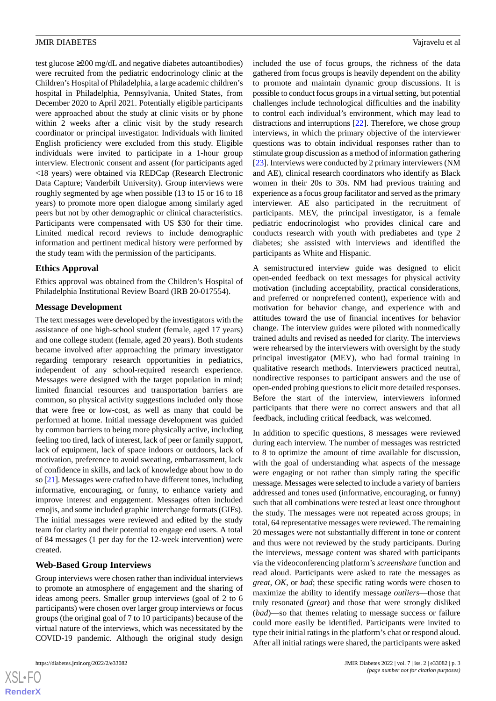test glucose ≥200 mg/dL and negative diabetes autoantibodies) were recruited from the pediatric endocrinology clinic at the Children's Hospital of Philadelphia, a large academic children's hospital in Philadelphia, Pennsylvania, United States, from December 2020 to April 2021. Potentially eligible participants were approached about the study at clinic visits or by phone within 2 weeks after a clinic visit by the study research coordinator or principal investigator. Individuals with limited English proficiency were excluded from this study. Eligible individuals were invited to participate in a 1-hour group interview. Electronic consent and assent (for participants aged <18 years) were obtained via REDCap (Research Electronic Data Capture; Vanderbilt University). Group interviews were roughly segmented by age when possible (13 to 15 or 16 to 18 years) to promote more open dialogue among similarly aged peers but not by other demographic or clinical characteristics. Participants were compensated with US \$30 for their time. Limited medical record reviews to include demographic information and pertinent medical history were performed by the study team with the permission of the participants.

# **Ethics Approval**

Ethics approval was obtained from the Children's Hospital of Philadelphia Institutional Review Board (IRB 20-017554).

# **Message Development**

The text messages were developed by the investigators with the assistance of one high-school student (female, aged 17 years) and one college student (female, aged 20 years). Both students became involved after approaching the primary investigator regarding temporary research opportunities in pediatrics, independent of any school-required research experience. Messages were designed with the target population in mind; limited financial resources and transportation barriers are common, so physical activity suggestions included only those that were free or low-cost, as well as many that could be performed at home. Initial message development was guided by common barriers to being more physically active, including feeling too tired, lack of interest, lack of peer or family support, lack of equipment, lack of space indoors or outdoors, lack of motivation, preference to avoid sweating, embarrassment, lack of confidence in skills, and lack of knowledge about how to do so [\[21](#page-12-0)]. Messages were crafted to have different tones, including informative, encouraging, or funny, to enhance variety and improve interest and engagement. Messages often included emojis, and some included graphic interchange formats (GIFs). The initial messages were reviewed and edited by the study team for clarity and their potential to engage end users. A total of 84 messages (1 per day for the 12-week intervention) were created.

# **Web-Based Group Interviews**

Group interviews were chosen rather than individual interviews to promote an atmosphere of engagement and the sharing of ideas among peers. Smaller group interviews (goal of 2 to 6 participants) were chosen over larger group interviews or focus groups (the original goal of 7 to 10 participants) because of the virtual nature of the interviews, which was necessitated by the COVID-19 pandemic. Although the original study design

included the use of focus groups, the richness of the data gathered from focus groups is heavily dependent on the ability to promote and maintain dynamic group discussions. It is possible to conduct focus groups in a virtual setting, but potential challenges include technological difficulties and the inability to control each individual's environment, which may lead to distractions and interruptions [[22\]](#page-12-1). Therefore, we chose group interviews, in which the primary objective of the interviewer questions was to obtain individual responses rather than to stimulate group discussion as a method of information gathering [[23\]](#page-12-2). Interviews were conducted by 2 primary interviewers (NM and AE), clinical research coordinators who identify as Black women in their 20s to 30s. NM had previous training and experience as a focus group facilitator and served as the primary interviewer. AE also participated in the recruitment of participants. MEV, the principal investigator, is a female pediatric endocrinologist who provides clinical care and conducts research with youth with prediabetes and type 2 diabetes; she assisted with interviews and identified the participants as White and Hispanic.

A semistructured interview guide was designed to elicit open-ended feedback on text messages for physical activity motivation (including acceptability, practical considerations, and preferred or nonpreferred content), experience with and motivation for behavior change, and experience with and attitudes toward the use of financial incentives for behavior change. The interview guides were piloted with nonmedically trained adults and revised as needed for clarity. The interviews were rehearsed by the interviewers with oversight by the study principal investigator (MEV), who had formal training in qualitative research methods. Interviewers practiced neutral, nondirective responses to participant answers and the use of open-ended probing questions to elicit more detailed responses. Before the start of the interview, interviewers informed participants that there were no correct answers and that all feedback, including critical feedback, was welcomed.

In addition to specific questions, 8 messages were reviewed during each interview. The number of messages was restricted to 8 to optimize the amount of time available for discussion, with the goal of understanding what aspects of the message were engaging or not rather than simply rating the specific message. Messages were selected to include a variety of barriers addressed and tones used (informative, encouraging, or funny) such that all combinations were tested at least once throughout the study. The messages were not repeated across groups; in total, 64 representative messages were reviewed. The remaining 20 messages were not substantially different in tone or content and thus were not reviewed by the study participants. During the interviews, message content was shared with participants via the videoconferencing platform's *screenshare* function and read aloud. Participants were asked to rate the messages as *great*, *OK*, or *bad*; these specific rating words were chosen to maximize the ability to identify message *outliers*—those that truly resonated (*great*) and those that were strongly disliked (*bad*)—so that themes relating to message success or failure could more easily be identified. Participants were invited to type their initial ratings in the platform's chat or respond aloud. After all initial ratings were shared, the participants were asked

 $XS$ -FO **[RenderX](http://www.renderx.com/)**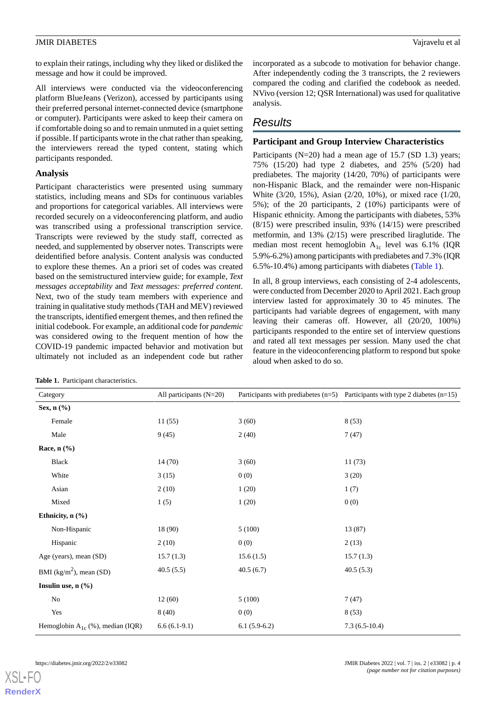to explain their ratings, including why they liked or disliked the message and how it could be improved.

All interviews were conducted via the videoconferencing platform BlueJeans (Verizon), accessed by participants using their preferred personal internet-connected device (smartphone or computer). Participants were asked to keep their camera on if comfortable doing so and to remain unmuted in a quiet setting if possible. If participants wrote in the chat rather than speaking, the interviewers reread the typed content, stating which participants responded.

# **Analysis**

Participant characteristics were presented using summary statistics, including means and SDs for continuous variables and proportions for categorical variables. All interviews were recorded securely on a videoconferencing platform, and audio was transcribed using a professional transcription service. Transcripts were reviewed by the study staff, corrected as needed, and supplemented by observer notes. Transcripts were deidentified before analysis. Content analysis was conducted to explore these themes. An a priori set of codes was created based on the semistructured interview guide; for example, *Text messages acceptability* and *Text messages: preferred content*. Next, two of the study team members with experience and training in qualitative study methods (TAH and MEV) reviewed the transcripts, identified emergent themes, and then refined the initial codebook. For example, an additional code for *pandemic* was considered owing to the frequent mention of how the COVID-19 pandemic impacted behavior and motivation but ultimately not included as an independent code but rather

<span id="page-3-0"></span>

| Table 1. Participant characteristics. |  |
|---------------------------------------|--|
|---------------------------------------|--|

incorporated as a subcode to motivation for behavior change. After independently coding the 3 transcripts, the 2 reviewers compared the coding and clarified the codebook as needed. NVivo (version 12; QSR International) was used for qualitative analysis.

# *Results*

# **Participant and Group Interview Characteristics**

Participants  $(N=20)$  had a mean age of 15.7 (SD 1.3) years; 75% (15/20) had type 2 diabetes, and 25% (5/20) had prediabetes. The majority (14/20, 70%) of participants were non-Hispanic Black, and the remainder were non-Hispanic White (3/20, 15%), Asian (2/20, 10%), or mixed race (1/20, 5%); of the 20 participants, 2 (10%) participants were of Hispanic ethnicity. Among the participants with diabetes, 53% (8/15) were prescribed insulin, 93% (14/15) were prescribed metformin, and 13% (2/15) were prescribed liraglutide. The median most recent hemoglobin  $A_{1c}$  level was 6.1% (IQR 5.9%-6.2%) among participants with prediabetes and 7.3% (IQR 6.5%-10.4%) among participants with diabetes [\(Table 1\)](#page-3-0).

In all, 8 group interviews, each consisting of 2-4 adolescents, were conducted from December 2020 to April 2021. Each group interview lasted for approximately 30 to 45 minutes. The participants had variable degrees of engagement, with many leaving their cameras off. However, all (20/20, 100%) participants responded to the entire set of interview questions and rated all text messages per session. Many used the chat feature in the videoconferencing platform to respond but spoke aloud when asked to do so.

| Category                              | All participants $(N=20)$ |                | Participants with prediabetes $(n=5)$ Participants with type 2 diabetes $(n=15)$ |
|---------------------------------------|---------------------------|----------------|----------------------------------------------------------------------------------|
| Sex, n (%)                            |                           |                |                                                                                  |
| Female                                | 11(55)                    | 3(60)          | 8(53)                                                                            |
| Male                                  | 9(45)                     | 2(40)          | 7(47)                                                                            |
| Race, $n$ $(\%)$                      |                           |                |                                                                                  |
| <b>Black</b>                          | 14(70)                    | 3(60)          | 11(73)                                                                           |
| White                                 | 3(15)                     | 0(0)           | 3(20)                                                                            |
| Asian                                 | 2(10)                     | 1(20)          | 1(7)                                                                             |
| Mixed                                 | 1(5)                      | 1(20)          | 0(0)                                                                             |
| Ethnicity, n (%)                      |                           |                |                                                                                  |
| Non-Hispanic                          | 18 (90)                   | 5(100)         | 13 (87)                                                                          |
| Hispanic                              | 2(10)                     | 0(0)           | 2(13)                                                                            |
| Age (years), mean (SD)                | 15.7(1.3)                 | 15.6(1.5)      | 15.7(1.3)                                                                        |
| BMI $(kg/m2)$ , mean (SD)             | 40.5(5.5)                 | 40.5(6.7)      | 40.5(5.3)                                                                        |
| Insulin use, $n$ $(\%)$               |                           |                |                                                                                  |
| $\rm No$                              | 12(60)                    | 5(100)         | 7(47)                                                                            |
| Yes                                   | 8(40)                     | 0(0)           | 8(53)                                                                            |
| Hemoglobin $A_{1c}$ (%), median (IQR) | $6.6(6.1-9.1)$            | $6.1(5.9-6.2)$ | $7.3(6.5-10.4)$                                                                  |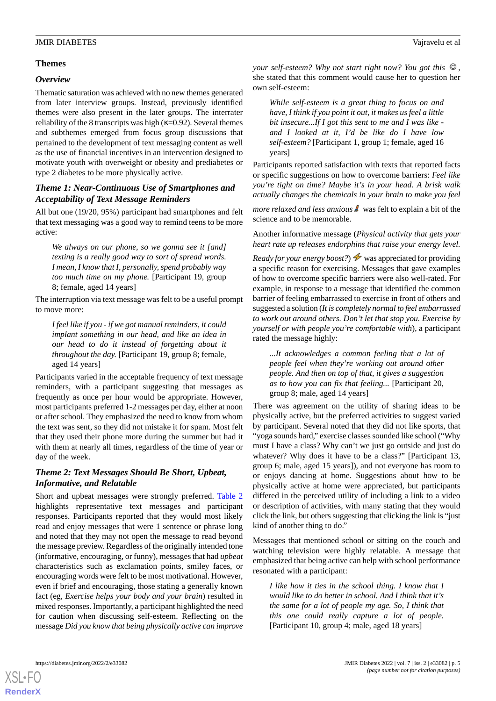# **Themes**

#### *Overview*

Thematic saturation was achieved with no new themes generated from later interview groups. Instead, previously identified themes were also present in the later groups. The interrater reliability of the 8 transcripts was high ( $\kappa$ =0.92). Several themes and subthemes emerged from focus group discussions that pertained to the development of text messaging content as well as the use of financial incentives in an intervention designed to motivate youth with overweight or obesity and prediabetes or type 2 diabetes to be more physically active.

# *Theme 1: Near-Continuous Use of Smartphones and Acceptability of Text Message Reminders*

All but one (19/20, 95%) participant had smartphones and felt that text messaging was a good way to remind teens to be more active:

*We always on our phone, so we gonna see it [and] texting is a really good way to sort of spread words. I mean, I know that I, personally, spend probably way too much time on my phone.* [Participant 19, group 8; female, aged 14 years]

The interruption via text message was felt to be a useful prompt to move more:

*I feel like if you - if we got manual reminders, it could implant something in our head, and like an idea in our head to do it instead of forgetting about it throughout the day.* [Participant 19, group 8; female, aged 14 years]

Participants varied in the acceptable frequency of text message reminders, with a participant suggesting that messages as frequently as once per hour would be appropriate. However, most participants preferred 1-2 messages per day, either at noon or after school. They emphasized the need to know from whom the text was sent, so they did not mistake it for spam. Most felt that they used their phone more during the summer but had it with them at nearly all times, regardless of the time of year or day of the week.

# *Theme 2: Text Messages Should Be Short, Upbeat, Informative, and Relatable*

Short and upbeat messages were strongly preferred. [Table 2](#page-5-0) highlights representative text messages and participant responses. Participants reported that they would most likely read and enjoy messages that were 1 sentence or phrase long and noted that they may not open the message to read beyond the message preview. Regardless of the originally intended tone (informative, encouraging, or funny), messages that had *upbeat* characteristics such as exclamation points, smiley faces, or encouraging words were felt to be most motivational. However, even if brief and encouraging, those stating a generally known fact (eg, *Exercise helps your body and your brain*) resulted in mixed responses. Importantly, a participant highlighted the need for caution when discussing self-esteem. Reflecting on the message *Did you know that being physically active can improve*

*your self-esteem? Why not start right now? You got this*  $\mathcal{Q}$ , she stated that this comment would cause her to question her own self-esteem:

*While self-esteem is a great thing to focus on and have, I think if you point it out, it makes us feel a little bit insecure...If I got this sent to me and I was like and I looked at it, I'd be like do I have low self-esteem?* [Participant 1, group 1; female, aged 16 years]

Participants reported satisfaction with texts that reported facts or specific suggestions on how to overcome barriers: *Feel like you're tight on time? Maybe it's in your head. A brisk walk actually changes the chemicals in your brain to make you feel*

*more relaxed and less anxious* **w** was felt to explain a bit of the science and to be memorable.

Another informative message (*Physical activity that gets your heart rate up releases endorphins that raise your energy level.*

*Ready for your energy boost?*)  $\rightarrow$  was appreciated for providing a specific reason for exercising. Messages that gave examples of how to overcome specific barriers were also well-rated. For example, in response to a message that identified the common barrier of feeling embarrassed to exercise in front of others and suggested a solution (*It is completely normal to feel embarrassed to work out around others. Don't let that stop you. Exercise by yourself or with people you're comfortable with*), a participant rated the message highly:

*...It acknowledges a common feeling that a lot of people feel when they're working out around other people. And then on top of that, it gives a suggestion as to how you can fix that feeling...* [Participant 20, group 8; male, aged 14 years]

There was agreement on the utility of sharing ideas to be physically active, but the preferred activities to suggest varied by participant. Several noted that they did not like sports, that "yoga sounds hard," exercise classes sounded like school ("Why must I have a class? Why can't we just go outside and just do whatever? Why does it have to be a class?" [Participant 13, group 6; male, aged 15 years]), and not everyone has room to or enjoys dancing at home. Suggestions about how to be physically active at home were appreciated, but participants differed in the perceived utility of including a link to a video or description of activities, with many stating that they would click the link, but others suggesting that clicking the link is "just kind of another thing to do."

Messages that mentioned school or sitting on the couch and watching television were highly relatable. A message that emphasized that being active can help with school performance resonated with a participant:

*I like how it ties in the school thing. I know that I would like to do better in school. And I think that it's the same for a lot of people my age. So, I think that this one could really capture a lot of people.* [Participant 10, group 4; male, aged 18 years]

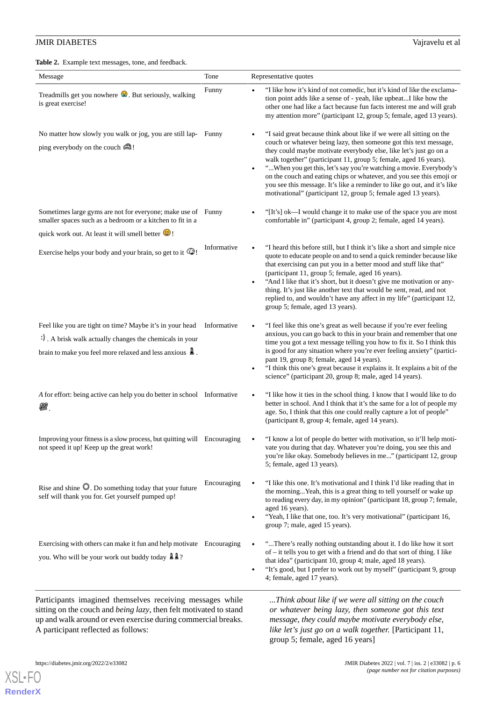<span id="page-5-0"></span>

| Message                                                                                                                                                                                   | Tone        | Representative quotes                                                                                                                                                                                                                                                                                                                                                                                                                                                                                                                                                                                     |
|-------------------------------------------------------------------------------------------------------------------------------------------------------------------------------------------|-------------|-----------------------------------------------------------------------------------------------------------------------------------------------------------------------------------------------------------------------------------------------------------------------------------------------------------------------------------------------------------------------------------------------------------------------------------------------------------------------------------------------------------------------------------------------------------------------------------------------------------|
| Treadmills get you nowhere $\bullet$ . But seriously, walking<br>is great exercise!                                                                                                       | Funny       | "I like how it's kind of not comedic, but it's kind of like the exclama-<br>$\bullet$<br>tion point adds like a sense of - yeah, like upbeatI like how the<br>other one had like a fact because fun facts interest me and will grab<br>my attention more" (participant 12, group 5; female, aged 13 years).                                                                                                                                                                                                                                                                                               |
| No matter how slowly you walk or jog, you are still lap- Funny<br>ping everybody on the couch $\mathbf{\triangle}$ !                                                                      |             | "I said great because think about like if we were all sitting on the<br>$\bullet$<br>couch or whatever being lazy, then someone got this text message,<br>they could maybe motivate everybody else, like let's just go on a<br>walk together" (participant 11, group 5; female, aged 16 years).<br>" When you get this, let's say you're watching a movie. Everybody's<br>$\bullet$<br>on the couch and eating chips or whatever, and you see this emoji or<br>you see this message. It's like a reminder to like go out, and it's like<br>motivational" (participant 12, group 5; female aged 13 years). |
| Sometimes large gyms are not for everyone; make use of Funny<br>smaller spaces such as a bedroom or a kitchen to fit in a<br>quick work out. At least it will smell better $\odot$ !      |             | "[It's] ok—I would change it to make use of the space you are most<br>$\bullet$<br>comfortable in" (participant 4, group 2; female, aged 14 years).                                                                                                                                                                                                                                                                                                                                                                                                                                                       |
| Exercise helps your body and your brain, so get to it $\mathbb{G}$ !                                                                                                                      | Informative | "I heard this before still, but I think it's like a short and simple nice<br>$\bullet$<br>quote to educate people on and to send a quick reminder because like<br>that exercising can put you in a better mood and stuff like that"<br>(participant 11, group 5; female, aged 16 years).<br>"And I like that it's short, but it doesn't give me motivation or any-<br>$\bullet$<br>thing. It's just like another text that would be sent, read, and not<br>replied to, and wouldn't have any affect in my life" (participant 12,<br>group 5; female, aged 13 years).                                      |
| Feel like you are tight on time? Maybe it's in your head<br>:) A brisk walk actually changes the chemicals in your<br>brain to make you feel more relaxed and less anxious $\mathbb{A}$ . | Informative | "I feel like this one's great as well because if you're ever feeling<br>$\bullet$<br>anxious, you can go back to this in your brain and remember that one<br>time you got a text message telling you how to fix it. So I think this<br>is good for any situation where you're ever feeling anxiety" (partici-<br>pant 19, group 8; female, aged 14 years).<br>"I think this one's great because it explains it. It explains a bit of the<br>$\bullet$<br>science" (participant 20, group 8; male, aged 14 years).                                                                                         |
| A for effort: being active can help you do better in school Informative<br>22                                                                                                             |             | "I like how it ties in the school thing. I know that I would like to do<br>$\bullet$<br>better in school. And I think that it's the same for a lot of people my<br>age. So, I think that this one could really capture a lot of people"<br>(participant 8, group 4; female, aged 14 years).                                                                                                                                                                                                                                                                                                               |
| Improving your fitness is a slow process, but quitting will Encouraging<br>not speed it up! Keep up the great work!                                                                       |             | "I know a lot of people do better with motivation, so it'll help moti-<br>vate you during that day. Whatever you're doing, you see this and<br>you're like okay. Somebody believes in me" (participant 12, group<br>5; female, aged 13 years).                                                                                                                                                                                                                                                                                                                                                            |
| Rise and shine $\mathbb{Q}$ . Do something today that your future<br>self will thank you for. Get yourself pumped up!                                                                     | Encouraging | "I like this one. It's motivational and I think I'd like reading that in<br>the morningYeah, this is a great thing to tell yourself or wake up<br>to reading every day, in my opinion" (participant 18, group 7; female,<br>aged 16 years).<br>"Yeah, I like that one, too. It's very motivational" (participant 16,<br>$\bullet$<br>group 7; male, aged 15 years).                                                                                                                                                                                                                                       |
| Exercising with others can make it fun and help motivate Encouraging<br>you. Who will be your work out buddy today $\mathbb{A} \mathbb{A}$ ?                                              |             | "There's really nothing outstanding about it. I do like how it sort<br>$\bullet$<br>of - it tells you to get with a friend and do that sort of thing. I like<br>that idea" (participant 10, group 4; male, aged 18 years).<br>"It's good, but I prefer to work out by myself" (participant 9, group<br>$\bullet$<br>4; female, aged 17 years).                                                                                                                                                                                                                                                            |

sitting on the couch and *being lazy*, then felt motivated to stand up and walk around or even exercise during commercial breaks. A participant reflected as follows:

*message, they could maybe motivate everybody else, like let's just go on a walk together.* [Participant 11, group 5; female, aged 16 years]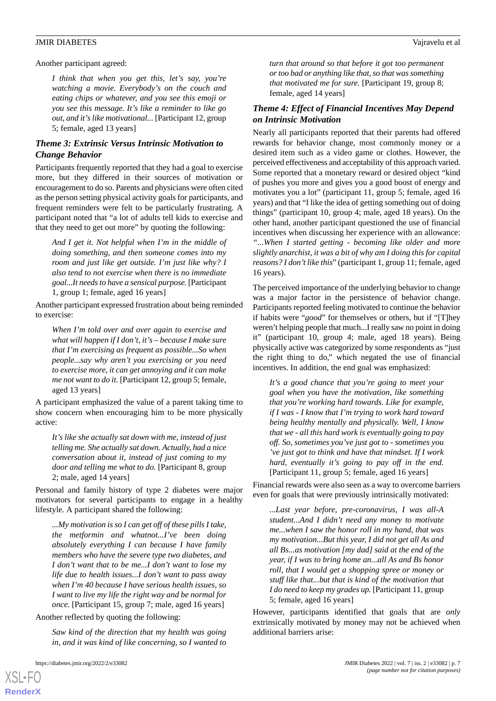Another participant agreed:

*I think that when you get this, let's say, you're watching a movie. Everybody's on the couch and eating chips or whatever, and you see this emoji or you see this message. It's like a reminder to like go out, and it's like motivational...* [Participant 12, group 5; female, aged 13 years]

# *Theme 3: Extrinsic Versus Intrinsic Motivation to Change Behavior*

Participants frequently reported that they had a goal to exercise more, but they differed in their sources of motivation or encouragement to do so. Parents and physicians were often cited as the person setting physical activity goals for participants, and frequent reminders were felt to be particularly frustrating. A participant noted that "a lot of adults tell kids to exercise and that they need to get out more" by quoting the following:

*And I get it. Not helpful when I'm in the middle of doing something, and then someone comes into my room and just like get outside. I'm just like why? I also tend to not exercise when there is no immediate goal...It needs to have a sensical purpose.* [Participant 1, group 1; female, aged 16 years]

Another participant expressed frustration about being reminded to exercise:

*When I'm told over and over again to exercise and what will happen if I don't, it's – because I make sure that I'm exercising as frequent as possible...So when people...say why aren't you exercising or you need to exercise more, it can get annoying and it can make me not want to do it.* [Participant 12, group 5; female, aged 13 years]

A participant emphasized the value of a parent taking time to show concern when encouraging him to be more physically active:

*It's like she actually sat down with me, instead of just telling me. She actually sat down. Actually, had a nice conversation about it, instead of just coming to my door and telling me what to do.* [Participant 8, group 2; male, aged 14 years]

Personal and family history of type 2 diabetes were major motivators for several participants to engage in a healthy lifestyle. A participant shared the following:

*...My motivation is so I can get off of these pills I take, the metformin and whatnot...I've been doing absolutely everything I can because I have family members who have the severe type two diabetes, and I don't want that to be me...I don't want to lose my life due to health issues...I don't want to pass away when I'm 40 because I have serious health issues, so I want to live my life the right way and be normal for once.* [Participant 15, group 7; male, aged 16 years]

Another reflected by quoting the following:

*Saw kind of the direction that my health was going in, and it was kind of like concerning, so I wanted to*

[XSL](http://www.w3.org/Style/XSL)•FO **[RenderX](http://www.renderx.com/)**

*turn that around so that before it got too permanent or too bad or anything like that, so that was something that motivated me for sure.* [Participant 19, group 8; female, aged 14 years]

# *Theme 4: Effect of Financial Incentives May Depend on Intrinsic Motivation*

Nearly all participants reported that their parents had offered rewards for behavior change, most commonly money or a desired item such as a video game or clothes. However, the perceived effectiveness and acceptability of this approach varied. Some reported that a monetary reward or desired object "kind of pushes you more and gives you a good boost of energy and motivates you a lot" (participant 11, group 5; female, aged 16 years) and that "I like the idea of getting something out of doing things" (participant 10, group 4; male, aged 18 years). On the other hand, another participant questioned the use of financial incentives when discussing her experience with an allowance: *"...When I started getting - becoming like older and more slightly anarchist, it was a bit of why am I doing this for capital reasons? I don't like this*" (participant 1, group 11; female, aged 16 years).

The perceived importance of the underlying behavior to change was a major factor in the persistence of behavior change. Participants reported feeling motivated to continue the behavior if habits were "*good*" for themselves or others, but if "[T]hey weren't helping people that much...I really saw no point in doing it" (participant 10, group 4; male, aged 18 years). Being physically active was categorized by some respondents as "just the right thing to do," which negated the use of financial incentives. In addition, the end goal was emphasized:

*It's a good chance that you're going to meet your goal when you have the motivation, like something that you're working hard towards. Like for example, if I was - I know that I'm trying to work hard toward being healthy mentally and physically. Well, I know that we - all this hard work is eventually going to pay off. So, sometimes you've just got to - sometimes you 've just got to think and have that mindset. If I work hard, eventually it's going to pay off in the end.* [Participant 11, group 5; female, aged 16 years]

Financial rewards were also seen as a way to overcome barriers even for goals that were previously intrinsically motivated:

*...Last year before, pre-coronavirus, I was all-A student...And I didn't need any money to motivate me...when I saw the honor roll in my hand, that was my motivation...But this year, I did not get all As and all Bs...as motivation [my dad] said at the end of the year, if I was to bring home an...all As and Bs honor roll, that I would get a shopping spree or money or stuff like that...but that is kind of the motivation that I do need to keep my grades up.* [Participant 11, group 5; female, aged 16 years]

However, participants identified that goals that are *only* extrinsically motivated by money may not be achieved when additional barriers arise: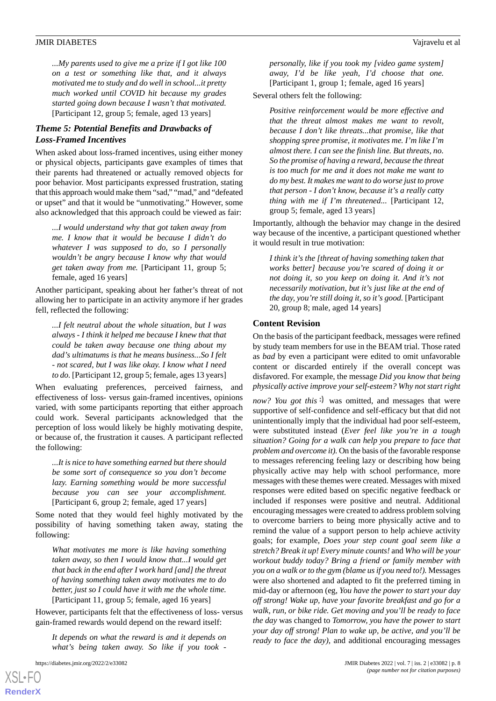*...My parents used to give me a prize if I got like 100 on a test or something like that, and it always motivated me to study and do well in school...it pretty much worked until COVID hit because my grades started going down because I wasn't that motivated.* [Participant 12, group 5; female, aged 13 years]

# *Theme 5: Potential Benefits and Drawbacks of Loss-Framed Incentives*

When asked about loss-framed incentives, using either money or physical objects, participants gave examples of times that their parents had threatened or actually removed objects for poor behavior. Most participants expressed frustration, stating that this approach would make them "sad," "mad," and "defeated or upset" and that it would be "unmotivating." However, some also acknowledged that this approach could be viewed as fair:

*...I would understand why that got taken away from me. I know that it would be because I didn't do whatever I was supposed to do, so I personally wouldn't be angry because I know why that would get taken away from me.* [Participant 11, group 5; female, aged 16 years]

Another participant, speaking about her father's threat of not allowing her to participate in an activity anymore if her grades fell, reflected the following:

*...I felt neutral about the whole situation, but I was always - I think it helped me because I knew that that could be taken away because one thing about my dad's ultimatums is that he means business...So I felt - not scared, but I was like okay. I know what I need to do.* [Participant 12, group 5; female, ages 13 years]

When evaluating preferences, perceived fairness, and effectiveness of loss- versus gain-framed incentives, opinions varied, with some participants reporting that either approach could work. Several participants acknowledged that the perception of loss would likely be highly motivating despite, or because of, the frustration it causes. A participant reflected the following:

*...It is nice to have something earned but there should be some sort of consequence so you don't become lazy. Earning something would be more successful because you can see your accomplishment.* [Participant 6, group 2; female, aged 17 years]

Some noted that they would feel highly motivated by the possibility of having something taken away, stating the following:

*What motivates me more is like having something taken away, so then I would know that...I would get that back in the end after I work hard [and] the threat of having something taken away motivates me to do better, just so I could have it with me the whole time.* [Participant 11, group 5; female, aged 16 years]

However, participants felt that the effectiveness of loss- versus gain-framed rewards would depend on the reward itself:

*It depends on what the reward is and it depends on what's being taken away. So like if you took -*

*personally, like if you took my [video game system] away, I'd be like yeah, I'd choose that one.* [Participant 1, group 1; female, aged 16 years]

Several others felt the following:

*Positive reinforcement would be more effective and that the threat almost makes me want to revolt, because I don't like threats...that promise, like that shopping spree promise, it motivates me. I'm like I'm almost there. I can see the finish line. But threats, no. So the promise of having a reward, because the threat is too much for me and it does not make me want to do my best. It makes me want to do worse just to prove that person - I don't know, because it's a really catty thing with me if I'm threatened...* [Participant 12, group 5; female, aged 13 years]

Importantly, although the behavior may change in the desired way because of the incentive, a participant questioned whether it would result in true motivation:

*I think it's the [threat of having something taken that works better] because you're scared of doing it or not doing it, so you keep on doing it. And it's not necessarily motivation, but it's just like at the end of the day, you're still doing it, so it's good.* [Participant 20, group 8; male, aged 14 years]

## **Content Revision**

On the basis of the participant feedback, messages were refined by study team members for use in the BEAM trial. Those rated as *bad* by even a participant were edited to omit unfavorable content or discarded entirely if the overall concept was disfavored. For example, the message *Did you know that being physically active improve your self-esteem? Why not start right*

*now? You got this*  $\cdot$  was omitted, and messages that were supportive of self-confidence and self-efficacy but that did not unintentionally imply that the individual had poor self-esteem, were substituted instead (*Ever feel like you're in a tough situation? Going for a walk can help you prepare to face that problem and overcome it).* On the basis of the favorable response to messages referencing feeling lazy or describing how being physically active may help with school performance, more messages with these themes were created. Messages with mixed responses were edited based on specific negative feedback or included if responses were positive and neutral. Additional encouraging messages were created to address problem solving to overcome barriers to being more physically active and to remind the value of a support person to help achieve activity goals; for example, *Does your step count goal seem like a stretch? Break it up! Every minute counts!* and *Who will be your workout buddy today? Bring a friend or family member with you on a walk or to the gym (blame us if you need to!).* Messages were also shortened and adapted to fit the preferred timing in mid-day or afternoon (eg, *You have the power to start your day off strong! Wake up, have your favorite breakfast and go for a walk, run, or bike ride. Get moving and you'll be ready to face the day* was changed to *Tomorrow, you have the power to start your day off strong! Plan to wake up, be active, and you'll be ready to face the day),* and additional encouraging messages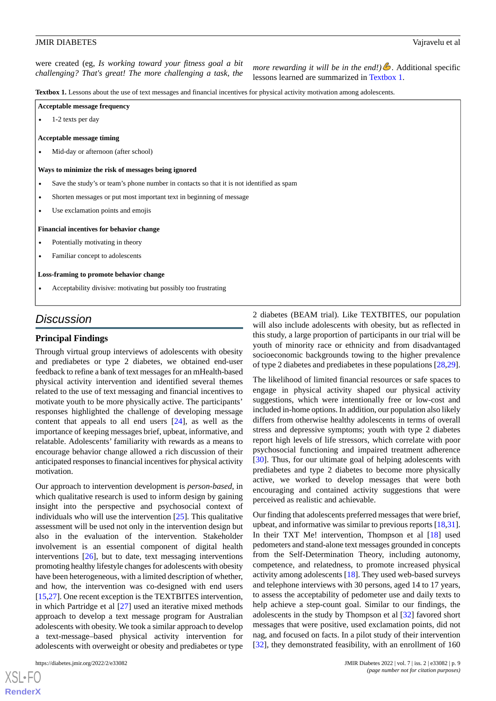were created (eg, *Is working toward your fitness goal a bit challenging? That's great! The more challenging a task, the more rewarding it will be in the end!*) Additional specific *challenging? That's great! The more challenging a task, the hecaps learned an aummerized in Teu* 

lessons learned are summarized in [Textbox 1](#page-8-0).

<span id="page-8-0"></span>**Textbox 1.** Lessons about the use of text messages and financial incentives for physical activity motivation among adolescents.

| Acceptable message frequency |  |
|------------------------------|--|
|------------------------------|--|

• 1-2 texts per day

**Acceptable message timing**

• Mid-day or afternoon (after school)

#### **Ways to minimize the risk of messages being ignored**

- Save the study's or team's phone number in contacts so that it is not identified as spam
- Shorten messages or put most important text in beginning of message
- Use exclamation points and emojis

#### **Financial incentives for behavior change**

- Potentially motivating in theory
- Familiar concept to adolescents

#### **Loss-framing to promote behavior change**

• Acceptability divisive: motivating but possibly too frustrating

# *Discussion*

#### **Principal Findings**

Through virtual group interviews of adolescents with obesity and prediabetes or type 2 diabetes, we obtained end-user feedback to refine a bank of text messages for an mHealth-based physical activity intervention and identified several themes related to the use of text messaging and financial incentives to motivate youth to be more physically active. The participants' responses highlighted the challenge of developing message content that appeals to all end users [\[24](#page-12-3)], as well as the importance of keeping messages brief, upbeat, informative, and relatable. Adolescents' familiarity with rewards as a means to encourage behavior change allowed a rich discussion of their anticipated responses to financial incentives for physical activity motivation.

Our approach to intervention development is *person-based*, in which qualitative research is used to inform design by gaining insight into the perspective and psychosocial context of individuals who will use the intervention [\[25](#page-12-4)]. This qualitative assessment will be used not only in the intervention design but also in the evaluation of the intervention. Stakeholder involvement is an essential component of digital health interventions [\[26](#page-12-5)], but to date, text messaging interventions promoting healthy lifestyle changes for adolescents with obesity have been heterogeneous, with a limited description of whether, and how, the intervention was co-designed with end users [[15](#page-11-14)[,27](#page-12-6)]. One recent exception is the TEXTBITES intervention, in which Partridge et al [\[27](#page-12-6)] used an iterative mixed methods approach to develop a text message program for Australian adolescents with obesity. We took a similar approach to develop a text-message–based physical activity intervention for adolescents with overweight or obesity and prediabetes or type

[XSL](http://www.w3.org/Style/XSL)•FO **[RenderX](http://www.renderx.com/)**

2 diabetes (BEAM trial). Like TEXTBITES, our population will also include adolescents with obesity, but as reflected in this study, a large proportion of participants in our trial will be youth of minority race or ethnicity and from disadvantaged socioeconomic backgrounds towing to the higher prevalence of type 2 diabetes and prediabetes in these populations [\[28](#page-12-7),[29\]](#page-12-8).

The likelihood of limited financial resources or safe spaces to engage in physical activity shaped our physical activity suggestions, which were intentionally free or low-cost and included in-home options. In addition, our population also likely differs from otherwise healthy adolescents in terms of overall stress and depressive symptoms; youth with type 2 diabetes report high levels of life stressors, which correlate with poor psychosocial functioning and impaired treatment adherence [[30\]](#page-12-9). Thus, for our ultimate goal of helping adolescents with prediabetes and type 2 diabetes to become more physically active, we worked to develop messages that were both encouraging and contained activity suggestions that were perceived as realistic and achievable.

Our finding that adolescents preferred messages that were brief, upbeat, and informative was similar to previous reports [[18](#page-11-17)[,31\]](#page-12-10). In their TXT Me! intervention, Thompson et al [\[18](#page-11-17)] used pedometers and stand-alone text messages grounded in concepts from the Self-Determination Theory, including autonomy, competence, and relatedness, to promote increased physical activity among adolescents [\[18](#page-11-17)]. They used web-based surveys and telephone interviews with 30 persons, aged 14 to 17 years, to assess the acceptability of pedometer use and daily texts to help achieve a step-count goal. Similar to our findings, the adolescents in the study by Thompson et al [[32\]](#page-12-11) favored short messages that were positive, used exclamation points, did not nag, and focused on facts. In a pilot study of their intervention [[32\]](#page-12-11), they demonstrated feasibility, with an enrollment of 160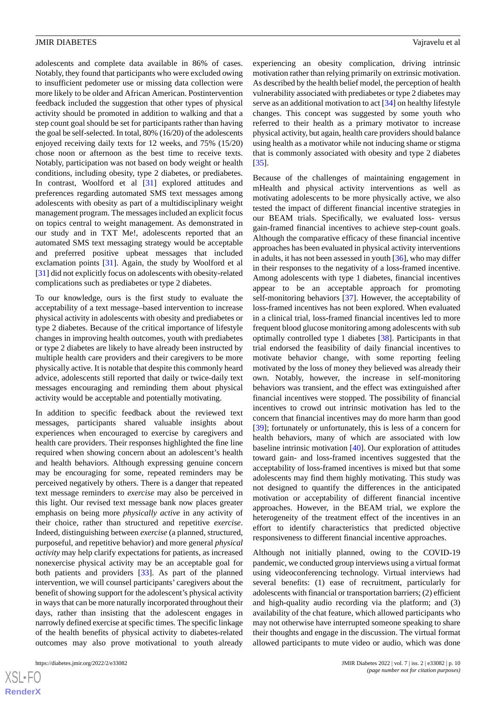adolescents and complete data available in 86% of cases. Notably, they found that participants who were excluded owing to insufficient pedometer use or missing data collection were more likely to be older and African American. Postintervention feedback included the suggestion that other types of physical activity should be promoted in addition to walking and that a step count goal should be set for participants rather than having the goal be self-selected. In total, 80% (16/20) of the adolescents enjoyed receiving daily texts for 12 weeks, and 75% (15/20) chose noon or afternoon as the best time to receive texts. Notably, participation was not based on body weight or health conditions, including obesity, type 2 diabetes, or prediabetes. In contrast, Woolford et al [[31\]](#page-12-10) explored attitudes and preferences regarding automated SMS text messages among adolescents with obesity as part of a multidisciplinary weight management program. The messages included an explicit focus on topics central to weight management. As demonstrated in our study and in TXT Me!, adolescents reported that an automated SMS text messaging strategy would be acceptable and preferred positive upbeat messages that included exclamation points [\[31](#page-12-10)]. Again, the study by Woolford et al [[31\]](#page-12-10) did not explicitly focus on adolescents with obesity-related complications such as prediabetes or type 2 diabetes.

To our knowledge, ours is the first study to evaluate the acceptability of a text message–based intervention to increase physical activity in adolescents with obesity and prediabetes or type 2 diabetes. Because of the critical importance of lifestyle changes in improving health outcomes, youth with prediabetes or type 2 diabetes are likely to have already been instructed by multiple health care providers and their caregivers to be more physically active. It is notable that despite this commonly heard advice, adolescents still reported that daily or twice-daily text messages encouraging and reminding them about physical activity would be acceptable and potentially motivating.

In addition to specific feedback about the reviewed text messages, participants shared valuable insights about experiences when encouraged to exercise by caregivers and health care providers. Their responses highlighted the fine line required when showing concern about an adolescent's health and health behaviors. Although expressing genuine concern may be encouraging for some, repeated reminders may be perceived negatively by others. There is a danger that repeated text message reminders to *exercise* may also be perceived in this light. Our revised text message bank now places greater emphasis on being more *physically active* in any activity of their choice, rather than structured and repetitive *exercise*. Indeed, distinguishing between *exercise* (a planned, structured, purposeful, and repetitive behavior) and more general *physical activity* may help clarify expectations for patients, as increased nonexercise physical activity may be an acceptable goal for both patients and providers [\[33](#page-12-12)]. As part of the planned intervention, we will counsel participants' caregivers about the benefit of showing support for the adolescent's physical activity in ways that can be more naturally incorporated throughout their days, rather than insisting that the adolescent engages in narrowly defined exercise at specific times. The specific linkage of the health benefits of physical activity to diabetes-related outcomes may also prove motivational to youth already

experiencing an obesity complication, driving intrinsic motivation rather than relying primarily on extrinsic motivation. As described by the health belief model, the perception of health vulnerability associated with prediabetes or type 2 diabetes may serve as an additional motivation to act [[34\]](#page-12-13) on healthy lifestyle changes. This concept was suggested by some youth who referred to their health as a primary motivator to increase physical activity, but again, health care providers should balance using health as a motivator while not inducing shame or stigma that is commonly associated with obesity and type 2 diabetes [[35\]](#page-12-14).

Because of the challenges of maintaining engagement in mHealth and physical activity interventions as well as motivating adolescents to be more physically active, we also tested the impact of different financial incentive strategies in our BEAM trials. Specifically, we evaluated loss- versus gain-framed financial incentives to achieve step-count goals. Although the comparative efficacy of these financial incentive approaches has been evaluated in physical activity interventions in adults, it has not been assessed in youth [\[36](#page-12-15)], who may differ in their responses to the negativity of a loss-framed incentive. Among adolescents with type 1 diabetes, financial incentives appear to be an acceptable approach for promoting self-monitoring behaviors [\[37](#page-12-16)]. However, the acceptability of loss-framed incentives has not been explored. When evaluated in a clinical trial, loss-framed financial incentives led to more frequent blood glucose monitoring among adolescents with sub optimally controlled type 1 diabetes [\[38](#page-12-17)]. Participants in that trial endorsed the feasibility of daily financial incentives to motivate behavior change, with some reporting feeling motivated by the loss of money they believed was already their own. Notably, however, the increase in self-monitoring behaviors was transient, and the effect was extinguished after financial incentives were stopped. The possibility of financial incentives to crowd out intrinsic motivation has led to the concern that financial incentives may do more harm than good [[39\]](#page-12-18); fortunately or unfortunately, this is less of a concern for health behaviors, many of which are associated with low baseline intrinsic motivation [\[40](#page-12-19)]. Our exploration of attitudes toward gain- and loss-framed incentives suggested that the acceptability of loss-framed incentives is mixed but that some adolescents may find them highly motivating. This study was not designed to quantify the differences in the anticipated motivation or acceptability of different financial incentive approaches. However, in the BEAM trial, we explore the heterogeneity of the treatment effect of the incentives in an effort to identify characteristics that predicted objective responsiveness to different financial incentive approaches.

Although not initially planned, owing to the COVID-19 pandemic, we conducted group interviews using a virtual format using videoconferencing technology. Virtual interviews had several benefits: (1) ease of recruitment, particularly for adolescents with financial or transportation barriers; (2) efficient and high-quality audio recording via the platform; and (3) availability of the chat feature, which allowed participants who may not otherwise have interrupted someone speaking to share their thoughts and engage in the discussion. The virtual format allowed participants to mute video or audio, which was done

 $XS$ -FO **[RenderX](http://www.renderx.com/)**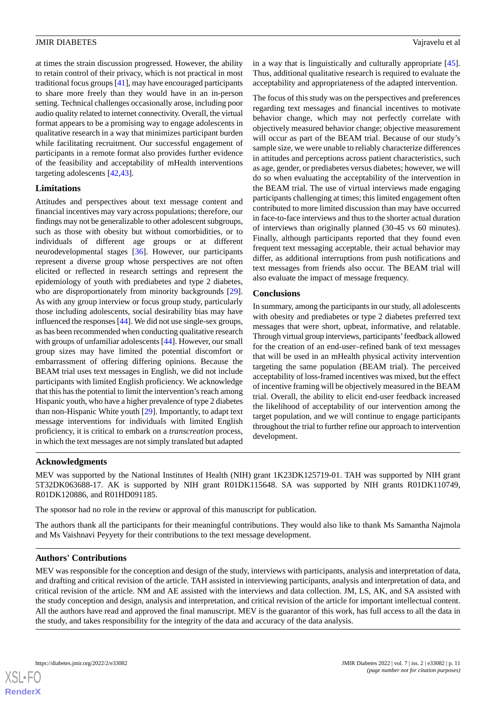at times the strain discussion progressed. However, the ability to retain control of their privacy, which is not practical in most traditional focus groups [[41\]](#page-12-20), may have encouraged participants to share more freely than they would have in an in-person setting. Technical challenges occasionally arose, including poor audio quality related to internet connectivity. Overall, the virtual format appears to be a promising way to engage adolescents in qualitative research in a way that minimizes participant burden while facilitating recruitment. Our successful engagement of participants in a remote format also provides further evidence of the feasibility and acceptability of mHealth interventions targeting adolescents [\[42](#page-12-21),[43\]](#page-13-0).

# **Limitations**

Attitudes and perspectives about text message content and financial incentives may vary across populations; therefore, our findings may not be generalizable to other adolescent subgroups, such as those with obesity but without comorbidities, or to individuals of different age groups or at different neurodevelopmental stages [\[36](#page-12-15)]. However, our participants represent a diverse group whose perspectives are not often elicited or reflected in research settings and represent the epidemiology of youth with prediabetes and type 2 diabetes, who are disproportionately from minority backgrounds [[29\]](#page-12-8). As with any group interview or focus group study, particularly those including adolescents, social desirability bias may have influenced the responses [[44\]](#page-13-1). We did not use single-sex groups, as has been recommended when conducting qualitative research with groups of unfamiliar adolescents [[44\]](#page-13-1). However, our small group sizes may have limited the potential discomfort or embarrassment of offering differing opinions. Because the BEAM trial uses text messages in English, we did not include participants with limited English proficiency. We acknowledge that this has the potential to limit the intervention's reach among Hispanic youth, who have a higher prevalence of type 2 diabetes than non-Hispanic White youth [\[29](#page-12-8)]. Importantly, to adapt text message interventions for individuals with limited English proficiency, it is critical to embark on a *transcreation* process, in which the text messages are not simply translated but adapted

in a way that is linguistically and culturally appropriate [[45\]](#page-13-2). Thus, additional qualitative research is required to evaluate the acceptability and appropriateness of the adapted intervention.

The focus of this study was on the perspectives and preferences regarding text messages and financial incentives to motivate behavior change, which may not perfectly correlate with objectively measured behavior change; objective measurement will occur as part of the BEAM trial. Because of our study's sample size, we were unable to reliably characterize differences in attitudes and perceptions across patient characteristics, such as age, gender, or prediabetes versus diabetes; however, we will do so when evaluating the acceptability of the intervention in the BEAM trial. The use of virtual interviews made engaging participants challenging at times; this limited engagement often contributed to more limited discussion than may have occurred in face-to-face interviews and thus to the shorter actual duration of interviews than originally planned (30-45 vs 60 minutes). Finally, although participants reported that they found even frequent text messaging acceptable, their actual behavior may differ, as additional interruptions from push notifications and text messages from friends also occur. The BEAM trial will also evaluate the impact of message frequency.

#### **Conclusions**

In summary, among the participants in our study, all adolescents with obesity and prediabetes or type 2 diabetes preferred text messages that were short, upbeat, informative, and relatable. Through virtual group interviews, participants'feedback allowed for the creation of an end-user–refined bank of text messages that will be used in an mHealth physical activity intervention targeting the same population (BEAM trial). The perceived acceptability of loss-framed incentives was mixed, but the effect of incentive framing will be objectively measured in the BEAM trial. Overall, the ability to elicit end-user feedback increased the likelihood of acceptability of our intervention among the target population, and we will continue to engage participants throughout the trial to further refine our approach to intervention development.

# **Acknowledgments**

MEV was supported by the National Institutes of Health (NIH) grant 1K23DK125719-01. TAH was supported by NIH grant 5T32DK063688-17. AK is supported by NIH grant R01DK115648. SA was supported by NIH grants R01DK110749, R01DK120886, and R01HD091185.

The sponsor had no role in the review or approval of this manuscript for publication.

The authors thank all the participants for their meaningful contributions. They would also like to thank Ms Samantha Najmola and Ms Vaishnavi Peyyety for their contributions to the text message development.

# **Authors' Contributions**

MEV was responsible for the conception and design of the study, interviews with participants, analysis and interpretation of data, and drafting and critical revision of the article. TAH assisted in interviewing participants, analysis and interpretation of data, and critical revision of the article. NM and AE assisted with the interviews and data collection. JM, LS, AK, and SA assisted with the study conception and design, analysis and interpretation, and critical revision of the article for important intellectual content. All the authors have read and approved the final manuscript. MEV is the guarantor of this work, has full access to all the data in the study, and takes responsibility for the integrity of the data and accuracy of the data analysis.

 $XS$ -FO **[RenderX](http://www.renderx.com/)**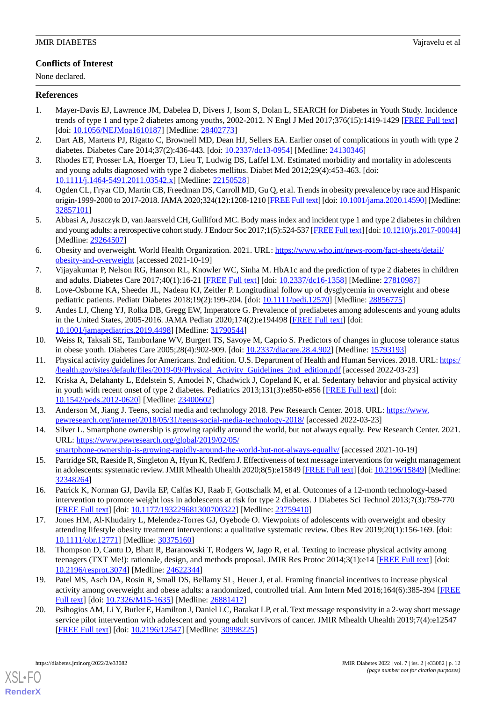# **Conflicts of Interest**

None declared.

# <span id="page-11-0"></span>**References**

- 1. Mayer-Davis EJ, Lawrence JM, Dabelea D, Divers J, Isom S, Dolan L, SEARCH for Diabetes in Youth Study. Incidence trends of type 1 and type 2 diabetes among youths, 2002-2012. N Engl J Med 2017;376(15):1419-1429 [\[FREE Full text\]](http://europepmc.org/abstract/MED/28402773) [doi: [10.1056/NEJMoa1610187\]](http://dx.doi.org/10.1056/NEJMoa1610187) [Medline: [28402773\]](http://www.ncbi.nlm.nih.gov/entrez/query.fcgi?cmd=Retrieve&db=PubMed&list_uids=28402773&dopt=Abstract)
- <span id="page-11-2"></span><span id="page-11-1"></span>2. Dart AB, Martens PJ, Rigatto C, Brownell MD, Dean HJ, Sellers EA. Earlier onset of complications in youth with type 2 diabetes. Diabetes Care 2014;37(2):436-443. [doi: [10.2337/dc13-0954](http://dx.doi.org/10.2337/dc13-0954)] [Medline: [24130346\]](http://www.ncbi.nlm.nih.gov/entrez/query.fcgi?cmd=Retrieve&db=PubMed&list_uids=24130346&dopt=Abstract)
- <span id="page-11-3"></span>3. Rhodes ET, Prosser LA, Hoerger TJ, Lieu T, Ludwig DS, Laffel LM. Estimated morbidity and mortality in adolescents and young adults diagnosed with type 2 diabetes mellitus. Diabet Med 2012;29(4):453-463. [doi: [10.1111/j.1464-5491.2011.03542.x\]](http://dx.doi.org/10.1111/j.1464-5491.2011.03542.x) [Medline: [22150528\]](http://www.ncbi.nlm.nih.gov/entrez/query.fcgi?cmd=Retrieve&db=PubMed&list_uids=22150528&dopt=Abstract)
- <span id="page-11-4"></span>4. Ogden CL, Fryar CD, Martin CB, Freedman DS, Carroll MD, Gu Q, et al. Trends in obesity prevalence by race and Hispanic origin-1999-2000 to 2017-2018. JAMA 2020;324(12):1208-1210 [\[FREE Full text\]](http://europepmc.org/abstract/MED/32857101) [doi: [10.1001/jama.2020.14590](http://dx.doi.org/10.1001/jama.2020.14590)] [Medline: [32857101](http://www.ncbi.nlm.nih.gov/entrez/query.fcgi?cmd=Retrieve&db=PubMed&list_uids=32857101&dopt=Abstract)]
- <span id="page-11-5"></span>5. Abbasi A, Juszczyk D, van Jaarsveld CH, Gulliford MC. Body mass index and incident type 1 and type 2 diabetes in children and young adults: a retrospective cohort study. J Endocr Soc 2017;1(5):524-537 [\[FREE Full text](http://europepmc.org/abstract/MED/29264507)] [doi: [10.1210/js.2017-00044\]](http://dx.doi.org/10.1210/js.2017-00044) [Medline: [29264507](http://www.ncbi.nlm.nih.gov/entrez/query.fcgi?cmd=Retrieve&db=PubMed&list_uids=29264507&dopt=Abstract)]
- <span id="page-11-6"></span>6. Obesity and overweight. World Health Organization. 2021. URL: [https://www.who.int/news-room/fact-sheets/detail/](https://www.who.int/news-room/fact-sheets/detail/obesity-and-overweight) [obesity-and-overweight](https://www.who.int/news-room/fact-sheets/detail/obesity-and-overweight) [accessed 2021-10-19]
- <span id="page-11-8"></span><span id="page-11-7"></span>7. Vijayakumar P, Nelson RG, Hanson RL, Knowler WC, Sinha M. HbA1c and the prediction of type 2 diabetes in children and adults. Diabetes Care 2017;40(1):16-21 [[FREE Full text](http://europepmc.org/abstract/MED/27810987)] [doi: [10.2337/dc16-1358](http://dx.doi.org/10.2337/dc16-1358)] [Medline: [27810987](http://www.ncbi.nlm.nih.gov/entrez/query.fcgi?cmd=Retrieve&db=PubMed&list_uids=27810987&dopt=Abstract)]
- 8. Love-Osborne KA, Sheeder JL, Nadeau KJ, Zeitler P. Longitudinal follow up of dysglycemia in overweight and obese pediatric patients. Pediatr Diabetes 2018;19(2):199-204. [doi: [10.1111/pedi.12570](http://dx.doi.org/10.1111/pedi.12570)] [Medline: [28856775](http://www.ncbi.nlm.nih.gov/entrez/query.fcgi?cmd=Retrieve&db=PubMed&list_uids=28856775&dopt=Abstract)]
- <span id="page-11-9"></span>9. Andes LJ, Cheng YJ, Rolka DB, Gregg EW, Imperatore G. Prevalence of prediabetes among adolescents and young adults in the United States, 2005-2016. JAMA Pediatr 2020;174(2):e194498 [[FREE Full text](http://europepmc.org/abstract/MED/31790544)] [doi: [10.1001/jamapediatrics.2019.4498](http://dx.doi.org/10.1001/jamapediatrics.2019.4498)] [Medline: [31790544\]](http://www.ncbi.nlm.nih.gov/entrez/query.fcgi?cmd=Retrieve&db=PubMed&list_uids=31790544&dopt=Abstract)
- <span id="page-11-11"></span><span id="page-11-10"></span>10. Weiss R, Taksali SE, Tamborlane WV, Burgert TS, Savoye M, Caprio S. Predictors of changes in glucose tolerance status in obese youth. Diabetes Care 2005;28(4):902-909. [doi: [10.2337/diacare.28.4.902](http://dx.doi.org/10.2337/diacare.28.4.902)] [Medline: [15793193](http://www.ncbi.nlm.nih.gov/entrez/query.fcgi?cmd=Retrieve&db=PubMed&list_uids=15793193&dopt=Abstract)]
- 11. Physical activity guidelines for Americans. 2nd edition. U.S. Department of Health and Human Services. 2018. URL: [https:/](https://health.gov/sites/default/files/2019-09/Physical_Activity_Guidelines_2nd_edition.pdf) [/health.gov/sites/default/files/2019-09/Physical\\_Activity\\_Guidelines\\_2nd\\_edition.pdf](https://health.gov/sites/default/files/2019-09/Physical_Activity_Guidelines_2nd_edition.pdf) [accessed 2022-03-23]
- <span id="page-11-13"></span><span id="page-11-12"></span>12. Kriska A, Delahanty L, Edelstein S, Amodei N, Chadwick J, Copeland K, et al. Sedentary behavior and physical activity in youth with recent onset of type 2 diabetes. Pediatrics 2013;131(3):e850-e856 [[FREE Full text](http://europepmc.org/abstract/MED/23400602)] [doi: [10.1542/peds.2012-0620\]](http://dx.doi.org/10.1542/peds.2012-0620) [Medline: [23400602\]](http://www.ncbi.nlm.nih.gov/entrez/query.fcgi?cmd=Retrieve&db=PubMed&list_uids=23400602&dopt=Abstract)
- <span id="page-11-14"></span>13. Anderson M, Jiang J. Teens, social media and technology 2018. Pew Research Center. 2018. URL: [https://www.](https://www.pewresearch.org/internet/2018/05/31/teens-social-media-technology-2018/) [pewresearch.org/internet/2018/05/31/teens-social-media-technology-2018/](https://www.pewresearch.org/internet/2018/05/31/teens-social-media-technology-2018/) [accessed 2022-03-23]
- 14. Silver L. Smartphone ownership is growing rapidly around the world, but not always equally. Pew Research Center. 2021. URL: [https://www.pewresearch.org/global/2019/02/05/](https://www.pewresearch.org/global/2019/02/05/smartphone-ownership-is-growing-rapidly-around-the-world-but-not-always-equally/)
- <span id="page-11-15"></span>[smartphone-ownership-is-growing-rapidly-around-the-world-but-not-always-equally/](https://www.pewresearch.org/global/2019/02/05/smartphone-ownership-is-growing-rapidly-around-the-world-but-not-always-equally/) [accessed 2021-10-19] 15. Partridge SR, Raeside R, Singleton A, Hyun K, Redfern J. Effectiveness of text message interventions for weight management
- <span id="page-11-16"></span>in adolescents: systematic review. JMIR Mhealth Uhealth 2020;8(5):e15849 [\[FREE Full text](https://mhealth.jmir.org/2020/5/e15849/)] [doi: [10.2196/15849\]](http://dx.doi.org/10.2196/15849) [Medline: [32348264](http://www.ncbi.nlm.nih.gov/entrez/query.fcgi?cmd=Retrieve&db=PubMed&list_uids=32348264&dopt=Abstract)]
- <span id="page-11-17"></span>16. Patrick K, Norman GJ, Davila EP, Calfas KJ, Raab F, Gottschalk M, et al. Outcomes of a 12-month technology-based intervention to promote weight loss in adolescents at risk for type 2 diabetes. J Diabetes Sci Technol 2013;7(3):759-770 [[FREE Full text](http://europepmc.org/abstract/MED/23759410)] [doi: [10.1177/193229681300700322\]](http://dx.doi.org/10.1177/193229681300700322) [Medline: [23759410](http://www.ncbi.nlm.nih.gov/entrez/query.fcgi?cmd=Retrieve&db=PubMed&list_uids=23759410&dopt=Abstract)]
- <span id="page-11-18"></span>17. Jones HM, Al-Khudairy L, Melendez-Torres GJ, Oyebode O. Viewpoints of adolescents with overweight and obesity attending lifestyle obesity treatment interventions: a qualitative systematic review. Obes Rev 2019;20(1):156-169. [doi: [10.1111/obr.12771](http://dx.doi.org/10.1111/obr.12771)] [Medline: [30375160\]](http://www.ncbi.nlm.nih.gov/entrez/query.fcgi?cmd=Retrieve&db=PubMed&list_uids=30375160&dopt=Abstract)
- <span id="page-11-19"></span>18. Thompson D, Cantu D, Bhatt R, Baranowski T, Rodgers W, Jago R, et al. Texting to increase physical activity among teenagers (TXT Me!): rationale, design, and methods proposal. JMIR Res Protoc 2014;3(1):e14 [\[FREE Full text\]](https://www.researchprotocols.org/2014/1/e14/) [doi: [10.2196/resprot.3074](http://dx.doi.org/10.2196/resprot.3074)] [Medline: [24622344\]](http://www.ncbi.nlm.nih.gov/entrez/query.fcgi?cmd=Retrieve&db=PubMed&list_uids=24622344&dopt=Abstract)
- 19. Patel MS, Asch DA, Rosin R, Small DS, Bellamy SL, Heuer J, et al. Framing financial incentives to increase physical activity among overweight and obese adults: a randomized, controlled trial. Ann Intern Med 2016;164(6):385-394 [\[FREE](http://europepmc.org/abstract/MED/26881417) [Full text\]](http://europepmc.org/abstract/MED/26881417) [doi: [10.7326/M15-1635\]](http://dx.doi.org/10.7326/M15-1635) [Medline: [26881417](http://www.ncbi.nlm.nih.gov/entrez/query.fcgi?cmd=Retrieve&db=PubMed&list_uids=26881417&dopt=Abstract)]
- 20. Psihogios AM, Li Y, Butler E, Hamilton J, Daniel LC, Barakat LP, et al. Text message responsivity in a 2-way short message service pilot intervention with adolescent and young adult survivors of cancer. JMIR Mhealth Uhealth 2019;7(4):e12547 [[FREE Full text](https://mhealth.jmir.org/2019/4/e12547/)] [doi: [10.2196/12547\]](http://dx.doi.org/10.2196/12547) [Medline: [30998225\]](http://www.ncbi.nlm.nih.gov/entrez/query.fcgi?cmd=Retrieve&db=PubMed&list_uids=30998225&dopt=Abstract)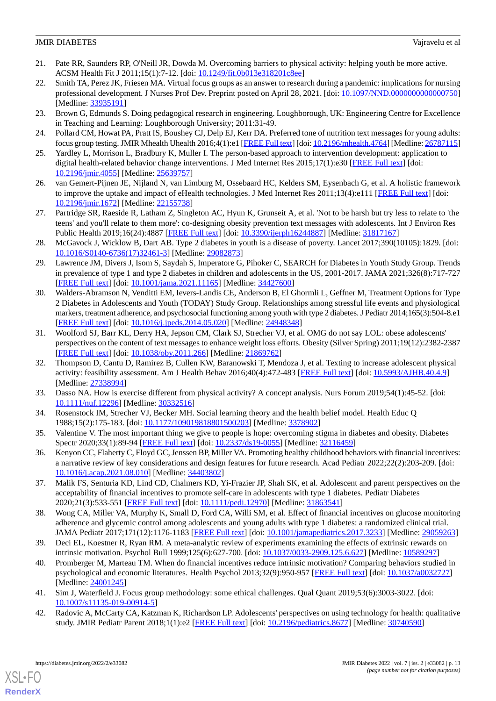- <span id="page-12-0"></span>21. Pate RR, Saunders RP, O'Neill JR, Dowda M. Overcoming barriers to physical activity: helping youth be more active. ACSM Health Fit J 2011;15(1):7-12. [doi: [10.1249/fit.0b013e318201c8ee](http://dx.doi.org/10.1249/fit.0b013e318201c8ee)]
- <span id="page-12-1"></span>22. Smith TA, Perez JK, Friesen MA. Virtual focus groups as an answer to research during a pandemic: implications for nursing professional development. J Nurses Prof Dev. Preprint posted on April 28, 2021. [doi: [10.1097/NND.0000000000000750](http://dx.doi.org/10.1097/NND.0000000000000750)] [Medline: [33935191](http://www.ncbi.nlm.nih.gov/entrez/query.fcgi?cmd=Retrieve&db=PubMed&list_uids=33935191&dopt=Abstract)]
- <span id="page-12-3"></span><span id="page-12-2"></span>23. Brown G, Edmunds S. Doing pedagogical research in engineering. Loughborough, UK: Engineering Centre for Excellence in Teaching and Learning: Loughborough University; 2011:31-49.
- <span id="page-12-4"></span>24. Pollard CM, Howat PA, Pratt IS, Boushey CJ, Delp EJ, Kerr DA. Preferred tone of nutrition text messages for young adults: focus group testing. JMIR Mhealth Uhealth 2016;4(1):e1 [\[FREE Full text\]](https://mhealth.jmir.org/2016/1/e1/) [doi: [10.2196/mhealth.4764](http://dx.doi.org/10.2196/mhealth.4764)] [Medline: [26787115\]](http://www.ncbi.nlm.nih.gov/entrez/query.fcgi?cmd=Retrieve&db=PubMed&list_uids=26787115&dopt=Abstract)
- <span id="page-12-5"></span>25. Yardley L, Morrison L, Bradbury K, Muller I. The person-based approach to intervention development: application to digital health-related behavior change interventions. J Med Internet Res 2015;17(1):e30 [\[FREE Full text\]](https://www.jmir.org/2015/1/e30/) [doi: [10.2196/jmir.4055](http://dx.doi.org/10.2196/jmir.4055)] [Medline: [25639757](http://www.ncbi.nlm.nih.gov/entrez/query.fcgi?cmd=Retrieve&db=PubMed&list_uids=25639757&dopt=Abstract)]
- <span id="page-12-6"></span>26. van Gemert-Pijnen JE, Nijland N, van Limburg M, Ossebaard HC, Kelders SM, Eysenbach G, et al. A holistic framework to improve the uptake and impact of eHealth technologies. J Med Internet Res 2011;13(4):e111 [[FREE Full text\]](https://www.jmir.org/2011/4/e111/) [doi: [10.2196/jmir.1672](http://dx.doi.org/10.2196/jmir.1672)] [Medline: [22155738](http://www.ncbi.nlm.nih.gov/entrez/query.fcgi?cmd=Retrieve&db=PubMed&list_uids=22155738&dopt=Abstract)]
- <span id="page-12-7"></span>27. Partridge SR, Raeside R, Latham Z, Singleton AC, Hyun K, Grunseit A, et al. 'Not to be harsh but try less to relate to 'the teens' and you'll relate to them more': co-designing obesity prevention text messages with adolescents. Int J Environ Res Public Health 2019;16(24):4887 [[FREE Full text](https://www.mdpi.com/resolver?pii=ijerph16244887)] [doi: [10.3390/ijerph16244887](http://dx.doi.org/10.3390/ijerph16244887)] [Medline: [31817167\]](http://www.ncbi.nlm.nih.gov/entrez/query.fcgi?cmd=Retrieve&db=PubMed&list_uids=31817167&dopt=Abstract)
- <span id="page-12-8"></span>28. McGavock J, Wicklow B, Dart AB. Type 2 diabetes in youth is a disease of poverty. Lancet 2017;390(10105):1829. [doi: [10.1016/S0140-6736\(17\)32461-3\]](http://dx.doi.org/10.1016/S0140-6736(17)32461-3) [Medline: [29082873](http://www.ncbi.nlm.nih.gov/entrez/query.fcgi?cmd=Retrieve&db=PubMed&list_uids=29082873&dopt=Abstract)]
- <span id="page-12-9"></span>29. Lawrence JM, Divers J, Isom S, Saydah S, Imperatore G, Pihoker C, SEARCH for Diabetes in Youth Study Group. Trends in prevalence of type 1 and type 2 diabetes in children and adolescents in the US, 2001-2017. JAMA 2021;326(8):717-727 [[FREE Full text](http://europepmc.org/abstract/MED/34427600)] [doi: [10.1001/jama.2021.11165](http://dx.doi.org/10.1001/jama.2021.11165)] [Medline: [34427600\]](http://www.ncbi.nlm.nih.gov/entrez/query.fcgi?cmd=Retrieve&db=PubMed&list_uids=34427600&dopt=Abstract)
- <span id="page-12-10"></span>30. Walders-Abramson N, Venditti EM, Ievers-Landis CE, Anderson B, El Ghormli L, Geffner M, Treatment Options for Type 2 Diabetes in Adolescents and Youth (TODAY) Study Group. Relationships among stressful life events and physiological markers, treatment adherence, and psychosocial functioning among youth with type 2 diabetes. J Pediatr 2014;165(3):504-8.e1 [[FREE Full text](http://europepmc.org/abstract/MED/24948348)] [doi: [10.1016/j.jpeds.2014.05.020\]](http://dx.doi.org/10.1016/j.jpeds.2014.05.020) [Medline: [24948348](http://www.ncbi.nlm.nih.gov/entrez/query.fcgi?cmd=Retrieve&db=PubMed&list_uids=24948348&dopt=Abstract)]
- <span id="page-12-11"></span>31. Woolford SJ, Barr KL, Derry HA, Jepson CM, Clark SJ, Strecher VJ, et al. OMG do not say LOL: obese adolescents' perspectives on the content of text messages to enhance weight loss efforts. Obesity (Silver Spring) 2011;19(12):2382-2387 [[FREE Full text](https://doi.org/10.1038/oby.2011.266)] [doi: [10.1038/oby.2011.266](http://dx.doi.org/10.1038/oby.2011.266)] [Medline: [21869762\]](http://www.ncbi.nlm.nih.gov/entrez/query.fcgi?cmd=Retrieve&db=PubMed&list_uids=21869762&dopt=Abstract)
- <span id="page-12-13"></span><span id="page-12-12"></span>32. Thompson D, Cantu D, Ramirez B, Cullen KW, Baranowski T, Mendoza J, et al. Texting to increase adolescent physical activity: feasibility assessment. Am J Health Behav 2016;40(4):472-483 [[FREE Full text](http://europepmc.org/abstract/MED/27338994)] [doi: [10.5993/AJHB.40.4.9](http://dx.doi.org/10.5993/AJHB.40.4.9)] [Medline: [27338994](http://www.ncbi.nlm.nih.gov/entrez/query.fcgi?cmd=Retrieve&db=PubMed&list_uids=27338994&dopt=Abstract)]
- <span id="page-12-14"></span>33. Dasso NA. How is exercise different from physical activity? A concept analysis. Nurs Forum 2019;54(1):45-52. [doi: [10.1111/nuf.12296\]](http://dx.doi.org/10.1111/nuf.12296) [Medline: [30332516](http://www.ncbi.nlm.nih.gov/entrez/query.fcgi?cmd=Retrieve&db=PubMed&list_uids=30332516&dopt=Abstract)]
- <span id="page-12-15"></span>34. Rosenstock IM, Strecher VJ, Becker MH. Social learning theory and the health belief model. Health Educ Q 1988;15(2):175-183. [doi: [10.1177/109019818801500203\]](http://dx.doi.org/10.1177/109019818801500203) [Medline: [3378902\]](http://www.ncbi.nlm.nih.gov/entrez/query.fcgi?cmd=Retrieve&db=PubMed&list_uids=3378902&dopt=Abstract)
- <span id="page-12-16"></span>35. Valentine V. The most important thing we give to people is hope: overcoming stigma in diabetes and obesity. Diabetes Spectr 2020;33(1):89-94 [[FREE Full text](http://europepmc.org/abstract/MED/32116459)] [doi: [10.2337/ds19-0055](http://dx.doi.org/10.2337/ds19-0055)] [Medline: [32116459\]](http://www.ncbi.nlm.nih.gov/entrez/query.fcgi?cmd=Retrieve&db=PubMed&list_uids=32116459&dopt=Abstract)
- <span id="page-12-17"></span>36. Kenyon CC, Flaherty C, Floyd GC, Jenssen BP, Miller VA. Promoting healthy childhood behaviors with financial incentives: a narrative review of key considerations and design features for future research. Acad Pediatr 2022;22(2):203-209. [doi: [10.1016/j.acap.2021.08.010\]](http://dx.doi.org/10.1016/j.acap.2021.08.010) [Medline: [34403802\]](http://www.ncbi.nlm.nih.gov/entrez/query.fcgi?cmd=Retrieve&db=PubMed&list_uids=34403802&dopt=Abstract)
- <span id="page-12-18"></span>37. Malik FS, Senturia KD, Lind CD, Chalmers KD, Yi-Frazier JP, Shah SK, et al. Adolescent and parent perspectives on the acceptability of financial incentives to promote self-care in adolescents with type 1 diabetes. Pediatr Diabetes 2020;21(3):533-551 [[FREE Full text](http://europepmc.org/abstract/MED/31863541)] [doi: [10.1111/pedi.12970](http://dx.doi.org/10.1111/pedi.12970)] [Medline: [31863541](http://www.ncbi.nlm.nih.gov/entrez/query.fcgi?cmd=Retrieve&db=PubMed&list_uids=31863541&dopt=Abstract)]
- <span id="page-12-19"></span>38. Wong CA, Miller VA, Murphy K, Small D, Ford CA, Willi SM, et al. Effect of financial incentives on glucose monitoring adherence and glycemic control among adolescents and young adults with type 1 diabetes: a randomized clinical trial. JAMA Pediatr 2017;171(12):1176-1183 [[FREE Full text](http://europepmc.org/abstract/MED/29059263)] [doi: [10.1001/jamapediatrics.2017.3233](http://dx.doi.org/10.1001/jamapediatrics.2017.3233)] [Medline: [29059263\]](http://www.ncbi.nlm.nih.gov/entrez/query.fcgi?cmd=Retrieve&db=PubMed&list_uids=29059263&dopt=Abstract)
- <span id="page-12-21"></span><span id="page-12-20"></span>39. Deci EL, Koestner R, Ryan RM. A meta-analytic review of experiments examining the effects of extrinsic rewards on intrinsic motivation. Psychol Bull 1999;125(6):627-700. [doi: [10.1037/0033-2909.125.6.627\]](http://dx.doi.org/10.1037/0033-2909.125.6.627) [Medline: [10589297](http://www.ncbi.nlm.nih.gov/entrez/query.fcgi?cmd=Retrieve&db=PubMed&list_uids=10589297&dopt=Abstract)]
- 40. Promberger M, Marteau TM. When do financial incentives reduce intrinsic motivation? Comparing behaviors studied in psychological and economic literatures. Health Psychol 2013;32(9):950-957 [[FREE Full text](http://europepmc.org/abstract/MED/24001245)] [doi: [10.1037/a0032727\]](http://dx.doi.org/10.1037/a0032727) [Medline: [24001245](http://www.ncbi.nlm.nih.gov/entrez/query.fcgi?cmd=Retrieve&db=PubMed&list_uids=24001245&dopt=Abstract)]
- 41. Sim J, Waterfield J. Focus group methodology: some ethical challenges. Qual Quant 2019;53(6):3003-3022. [doi: [10.1007/s11135-019-00914-5\]](http://dx.doi.org/10.1007/s11135-019-00914-5)
- 42. Radovic A, McCarty CA, Katzman K, Richardson LP. Adolescents' perspectives on using technology for health: qualitative study. JMIR Pediatr Parent 2018;1(1):e2 [\[FREE Full text](https://pediatrics.jmir.org/2018/1/e2/)] [doi: [10.2196/pediatrics.8677](http://dx.doi.org/10.2196/pediatrics.8677)] [Medline: [30740590](http://www.ncbi.nlm.nih.gov/entrez/query.fcgi?cmd=Retrieve&db=PubMed&list_uids=30740590&dopt=Abstract)]